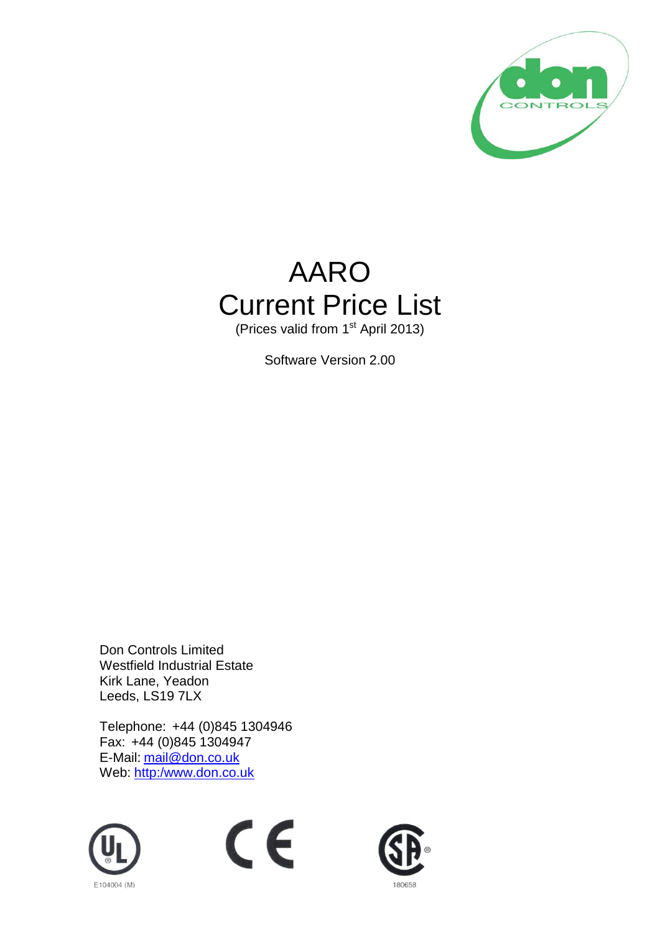

## AARO Current Price List

(Prices valid from 1<sup>st</sup> April 2013)

Software Version 2.00

Don Controls Limited Westfield Industrial Estate Kirk Lane, Yeadon Leeds, LS19 7LX

Telephone: +44 (0)845 1304946 Fax: +44 (0)845 1304947 E-Mail: <u>[mail@don.co.uk](mailto:mail@don.co.uk)</u> Web: <u>[http:/www.don.co.uk](http://www.don.co.uk/)</u>





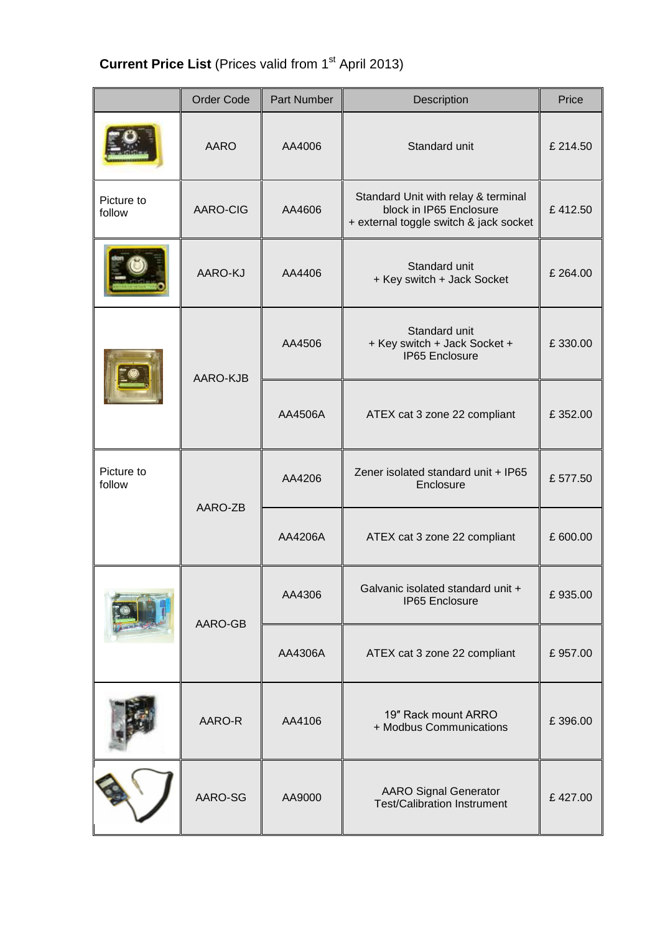## **Current Price List** (Prices valid from 1<sup>st</sup> April 2013)

|                      | <b>Order Code</b> | Part Number | Description                                                                                              | Price    |
|----------------------|-------------------|-------------|----------------------------------------------------------------------------------------------------------|----------|
|                      | <b>AARO</b>       | AA4006      | Standard unit                                                                                            | £214.50  |
| Picture to<br>follow | AARO-CIG          | AA4606      | Standard Unit with relay & terminal<br>block in IP65 Enclosure<br>+ external toggle switch & jack socket | £412.50  |
|                      | AARO-KJ           | AA4406      | Standard unit<br>+ Key switch + Jack Socket                                                              | £ 264.00 |
|                      | AARO-KJB          | AA4506      | Standard unit<br>+ Key switch + Jack Socket +<br><b>IP65 Enclosure</b>                                   | £330.00  |
|                      |                   | AA4506A     | ATEX cat 3 zone 22 compliant                                                                             | £352.00  |
| Picture to<br>follow | AARO-ZB           | AA4206      | Zener isolated standard unit + IP65<br>Enclosure                                                         | £577.50  |
|                      |                   | AA4206A     | ATEX cat 3 zone 22 compliant                                                                             | £ 600.00 |
|                      | AARO-GB           | AA4306      | Galvanic isolated standard unit +<br>IP65 Enclosure                                                      | £935.00  |
|                      |                   | AA4306A     | ATEX cat 3 zone 22 compliant                                                                             | £957.00  |
|                      | AARO-R            | AA4106      | 19" Rack mount ARRO<br>+ Modbus Communications                                                           | £396.00  |
|                      | AARO-SG           | AA9000      | <b>AARO Signal Generator</b><br><b>Test/Calibration Instrument</b>                                       | £427.00  |